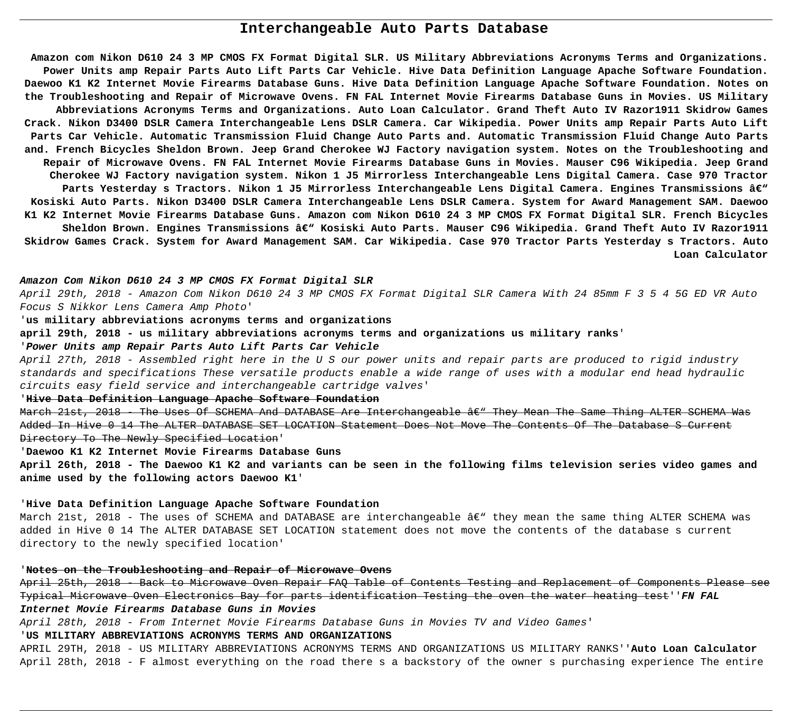# **Interchangeable Auto Parts Database**

**Amazon com Nikon D610 24 3 MP CMOS FX Format Digital SLR. US Military Abbreviations Acronyms Terms and Organizations. Power Units amp Repair Parts Auto Lift Parts Car Vehicle. Hive Data Definition Language Apache Software Foundation. Daewoo K1 K2 Internet Movie Firearms Database Guns. Hive Data Definition Language Apache Software Foundation. Notes on the Troubleshooting and Repair of Microwave Ovens. FN FAL Internet Movie Firearms Database Guns in Movies. US Military Abbreviations Acronyms Terms and Organizations. Auto Loan Calculator. Grand Theft Auto IV Razor1911 Skidrow Games Crack. Nikon D3400 DSLR Camera Interchangeable Lens DSLR Camera. Car Wikipedia. Power Units amp Repair Parts Auto Lift Parts Car Vehicle. Automatic Transmission Fluid Change Auto Parts and. Automatic Transmission Fluid Change Auto Parts and. French Bicycles Sheldon Brown. Jeep Grand Cherokee WJ Factory navigation system. Notes on the Troubleshooting and Repair of Microwave Ovens. FN FAL Internet Movie Firearms Database Guns in Movies. Mauser C96 Wikipedia. Jeep Grand Cherokee WJ Factory navigation system. Nikon 1 J5 Mirrorless Interchangeable Lens Digital Camera. Case 970 Tractor Parts Yesterday s Tractors. Nikon 1 J5 Mirrorless Interchangeable Lens Digital Camera. Engines Transmissions – Kosiski Auto Parts. Nikon D3400 DSLR Camera Interchangeable Lens DSLR Camera. System for Award Management SAM. Daewoo K1 K2 Internet Movie Firearms Database Guns. Amazon com Nikon D610 24 3 MP CMOS FX Format Digital SLR. French Bicycles** Sheldon Brown. Engines Transmissions â€" Kosiski Auto Parts. Mauser C96 Wikipedia. Grand Theft Auto IV Razor1911 **Skidrow Games Crack. System for Award Management SAM. Car Wikipedia. Case 970 Tractor Parts Yesterday s Tractors. Auto Loan Calculator**

March 21st, 2018 - The Uses Of SCHEMA And DATABASE Are Interchangeable â $\epsilon$ " They Mean The Same Thing ALTER SCHEMA Added In Hive 0 14 The ALTER DATABASE SET LOCATION Statement Does Not Move The Contents Of The Database S Current Directory To The Newly Specified Location'

March 21st, 2018 - The uses of SCHEMA and DATABASE are interchangeable  $\hat{a}\epsilon$ " they mean the same thing ALTER SCHEMA was added in Hive 0 14 The ALTER DATABASE SET LOCATION statement does not move the contents of the database s current directory to the newly specified location'

# **Amazon Com Nikon D610 24 3 MP CMOS FX Format Digital SLR**

April 29th, 2018 - Amazon Com Nikon D610 24 3 MP CMOS FX Format Digital SLR Camera With 24 85mm F 3 5 4 5G ED VR Auto Focus S Nikkor Lens Camera Amp Photo'

'**us military abbreviations acronyms terms and organizations**

**april 29th, 2018 - us military abbreviations acronyms terms and organizations us military ranks**' '**Power Units amp Repair Parts Auto Lift Parts Car Vehicle**

April 27th, 2018 - Assembled right here in the U S our power units and repair parts are produced to rigid industry standards and specifications These versatile products enable a wide range of uses with a modular end head hydraulic circuits easy field service and interchangeable cartridge valves'

'**Hive Data Definition Language Apache Software Foundation**

'**Daewoo K1 K2 Internet Movie Firearms Database Guns**

**April 26th, 2018 - The Daewoo K1 K2 and variants can be seen in the following films television series video games and anime used by the following actors Daewoo K1**'

# '**Hive Data Definition Language Apache Software Foundation**

# '**Notes on the Troubleshooting and Repair of Microwave Ovens**

April 25th, 2018 - Back to Microwave Oven Repair FAQ Table of Contents Testing and Replacement of Components Please see Typical Microwave Oven Electronics Bay for parts identification Testing the oven the water heating test''**FN FAL Internet Movie Firearms Database Guns in Movies**

April 28th, 2018 - From Internet Movie Firearms Database Guns in Movies TV and Video Games' '**US MILITARY ABBREVIATIONS ACRONYMS TERMS AND ORGANIZATIONS**

APRIL 29TH, 2018 - US MILITARY ABBREVIATIONS ACRONYMS TERMS AND ORGANIZATIONS US MILITARY RANKS''**Auto Loan Calculator** April 28th, 2018 - F almost everything on the road there s a backstory of the owner s purchasing experience The entire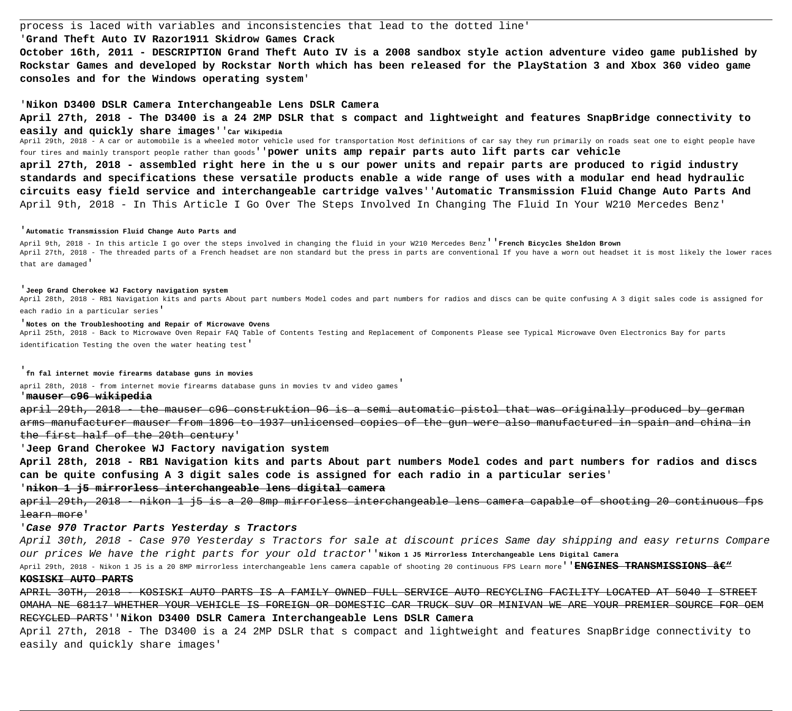process is laced with variables and inconsistencies that lead to the dotted line' '**Grand Theft Auto IV Razor1911 Skidrow Games Crack October 16th, 2011 - DESCRIPTION Grand Theft Auto IV is a 2008 sandbox style action adventure video game published by Rockstar Games and developed by Rockstar North which has been released for the PlayStation 3 and Xbox 360 video game consoles and for the Windows operating system**'

### '**Nikon D3400 DSLR Camera Interchangeable Lens DSLR Camera**

**April 27th, 2018 - The D3400 is a 24 2MP DSLR that s compact and lightweight and features SnapBridge connectivity to easily and quickly share images**''**Car Wikipedia**

April 29th, 2018 - A car or automobile is a wheeled motor vehicle used for transportation Most definitions of car say they run primarily on roads seat one to eight people have four tires and mainly transport people rather than goods''**power units amp repair parts auto lift parts car vehicle april 27th, 2018 - assembled right here in the u s our power units and repair parts are produced to rigid industry standards and specifications these versatile products enable a wide range of uses with a modular end head hydraulic circuits easy field service and interchangeable cartridge valves**''**Automatic Transmission Fluid Change Auto Parts And** April 9th, 2018 - In This Article I Go Over The Steps Involved In Changing The Fluid In Your W210 Mercedes Benz'

April 28th, 2018 - RB1 Navigation kits and parts About part numbers Model codes and part numbers for radios and discs can be quite confusing A 3 digit sales code is assigned for each radio in a particular series'

april 29th, 2018 - the mauser c96 construktion 96 is a semi automatic pistol that was originally produced by german arms manufacturer mauser from 1896 to 1937 unlicensed copies of the gun were also manufactured in spain and china the first half of the 20th century'

### '**Automatic Transmission Fluid Change Auto Parts and**

April 9th, 2018 - In this article I go over the steps involved in changing the fluid in your W210 Mercedes Benz''**French Bicycles Sheldon Brown** April 27th, 2018 - The threaded parts of a French headset are non standard but the press in parts are conventional If you have a worn out headset it is most likely the lower races that are damaged'

april 29th, 2018 - nikon 1 j5 is a 20 8mp mirrorless interchangeable lens camera capable of shooting 20 continuous learn more'

### '**Jeep Grand Cherokee WJ Factory navigation system**

### '**Notes on the Troubleshooting and Repair of Microwave Ovens**

April 25th, 2018 - Back to Microwave Oven Repair FAQ Table of Contents Testing and Replacement of Components Please see Typical Microwave Oven Electronics Bay for parts identification Testing the oven the water heating test'

'**fn fal internet movie firearms database guns in movies**

april 28th, 2018 - from internet movie firearms database guns in movies tv and video games

'**mauser c96 wikipedia**

'**Jeep Grand Cherokee WJ Factory navigation system**

**April 28th, 2018 - RB1 Navigation kits and parts About part numbers Model codes and part numbers for radios and discs can be quite confusing A 3 digit sales code is assigned for each radio in a particular series**' '**nikon 1 j5 mirrorless interchangeable lens digital camera**

# '**Case 970 Tractor Parts Yesterday s Tractors**

April 30th, 2018 - Case 970 Yesterday s Tractors for sale at discount prices Same day shipping and easy returns Compare our prices We have the right parts for your old tractor''**Nikon 1 J5 Mirrorless Interchangeable Lens Digital Camera** April 29th, 2018 - Nikon 1 J5 is a 20 8MP mirrorless interchangeable lens camera capable of shooting 20 continuous FPS Learn more''**ENGINES TRANSMISSIONS – KOSISKI AUTO PARTS**

APRIL 30TH, 2018 - KOSISKI AUTO PARTS IS A FAMILY OWNED FULL SERVICE AUTO RECYCLING FACILITY LOCATED AT 5040 I STREET OMAHA NE 68117 WHETHER YOUR VEHICLE IS FOREIGN OR DOMESTIC CAR TRUCK SUV OR MINIVAN WE ARE YOUR PREMIER SOURCE FOR OEM RECYCLED PARTS''**Nikon D3400 DSLR Camera Interchangeable Lens DSLR Camera**

April 27th, 2018 - The D3400 is a 24 2MP DSLR that s compact and lightweight and features SnapBridge connectivity to easily and quickly share images'